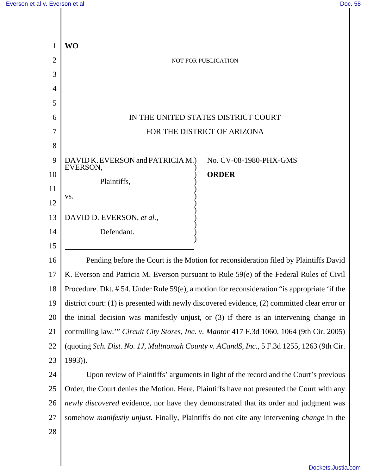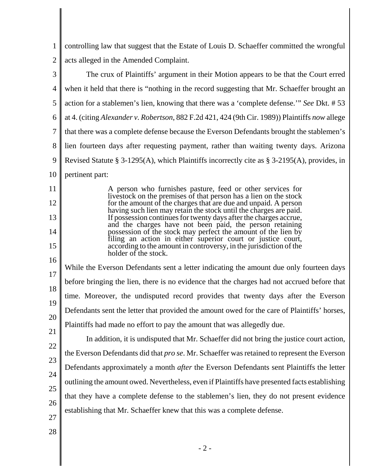1 2 controlling law that suggest that the Estate of Louis D. Schaeffer committed the wrongful acts alleged in the Amended Complaint.

3 4 5 6 7 8 9 10 The crux of Plaintiffs' argument in their Motion appears to be that the Court erred when it held that there is "nothing in the record suggesting that Mr. Schaeffer brought an action for a stablemen's lien, knowing that there was a 'complete defense.'" *See* Dkt. # 53 at 4. (citing *Alexander v. Robertson*, 882 F.2d 421, 424 (9th Cir. 1989)) Plaintiffs *now* allege that there was a complete defense because the Everson Defendants brought the stablemen's lien fourteen days after requesting payment, rather than waiting twenty days. Arizona Revised Statute § 3-1295(A), which Plaintiffs incorrectly cite as § 3-2195(A), provides, in pertinent part:

> A person who furnishes pasture, feed or other services for livestock on the premises of that person has a lien on the stock for the amount of the charges that are due and unpaid. A person having such lien may retain the stock until the charges are paid. If possession continues for twenty days after the charges accrue, and the charges have not been paid, the person retaining possession of the stock may perfect the amount of the lien by filing an action in either superior court or justice court, according to the amount in controversy, in the jurisdiction of the holder of the stock.

16 17 18 19 20 While the Everson Defendants sent a letter indicating the amount due only fourteen days before bringing the lien, there is no evidence that the charges had not accrued before that time. Moreover, the undisputed record provides that twenty days after the Everson Defendants sent the letter that provided the amount owed for the care of Plaintiffs' horses, Plaintiffs had made no effort to pay the amount that was allegedly due.

22 23 24 25 26 27 In addition, it is undisputed that Mr. Schaeffer did not bring the justice court action, the Everson Defendants did that *pro se*. Mr. Schaeffer was retained to represent the Everson Defendants approximately a month *after* the Everson Defendants sent Plaintiffs the letter outlining the amount owed. Nevertheless, even if Plaintiffs have presented facts establishing that they have a complete defense to the stablemen's lien, they do not present evidence establishing that Mr. Schaeffer knew that this was a complete defense.

28

11

12

13

14

15

21